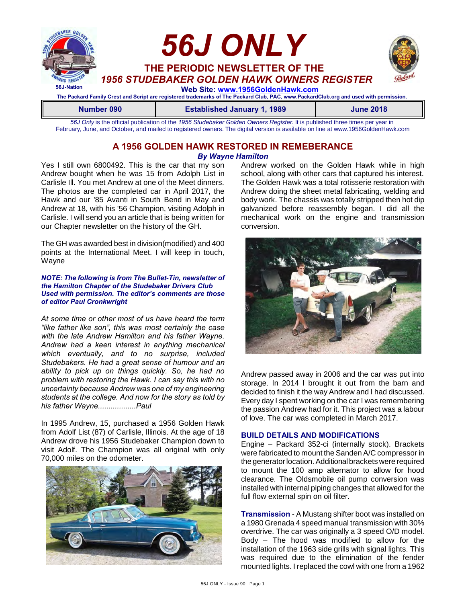

**Number 090 Established January 1, 1989 June 2018**

*56J Only* is the official publication of the *1956 Studebaker Golden Owners Register*. It is published three times per year in February, June, and October, and mailed to registered owners. The digital version is available on line at www.1956GoldenHawk.com

### **A 1956 GOLDEN HAWK RESTORED IN REMEBERANCE** *By Wayne Hamilton*

Yes I still own 6800492. This is the car that my son Andrew bought when he was 15 from Adolph List in Carlisle Ill. You met Andrew at one of the Meet dinners. The photos are the completed car in April 2017, the Hawk and our '85 Avanti in South Bend in May and Andrew at 18, with his '56 Champion, visiting Adolph in Carlisle. I will send you an article that is being written for our Chapter newsletter on the history of the GH.

The GH was awarded best in division(modified) and 400 points at the International Meet. I will keep in touch, Wayne

#### *NOTE: The following is from The Bullet-Tin, newsletter of the Hamilton Chapter of the Studebaker Drivers Club Used with permission. The editor's comments are those of editor Paul Cronkwright*

*At some time or other most of us have heard the term "like father like son", this was most certainly the case with the late Andrew Hamilton and his father Wayne. Andrew had a keen interest in anything mechanical which eventually, and to no surprise, included Studebakers. He had a great sense of humour and an ability to pick up on things quickly. So, he had no problem with restoring the Hawk. I can say this with no uncertainty because Andrew was one of my engineering students at the college. And now for the story as told by his father Wayne..................Paul*

In 1995 Andrew, 15, purchased a 1956 Golden Hawk from Adolf List (87) of Carlisle, Illinois. At the age of 18 Andrew drove his 1956 Studebaker Champion down to visit Adolf. The Champion was all original with only 70,000 miles on the odometer.



Andrew worked on the Golden Hawk while in high school, along with other cars that captured his interest. The Golden Hawk was a total rotisserie restoration with Andrew doing the sheet metal fabricating, welding and body work. The chassis was totally stripped then hot dip galvanized before reassembly began. I did all the mechanical work on the engine and transmission conversion.



Andrew passed away in 2006 and the car was put into storage. In 2014 I brought it out from the barn and decided to finish it the way Andrew and I had discussed. Every day I spent working on the car I was remembering the passion Andrew had for it. This project was a labour of love. The car was completed in March 2017.

#### **BUILD DETAILS AND MODIFICATIONS**

Engine – Packard 352-ci (internally stock). Brackets were fabricated to mount the Sanden A/C compressor in the generator location. Additional brackets were required to mount the 100 amp alternator to allow for hood clearance. The Oldsmobile oil pump conversion was installed with internal piping changes that allowed for the full flow external spin on oil filter.

**Transmission** - A Mustang shifter boot was installed on a 1980 Grenada 4 speed manual transmission with 30% overdrive. The car was originally a 3 speed O/D model. Body – The hood was modified to allow for the installation of the 1963 side grills with signal lights. This was required due to the elimination of the fender mounted lights. I replaced the cowl with one from a 1962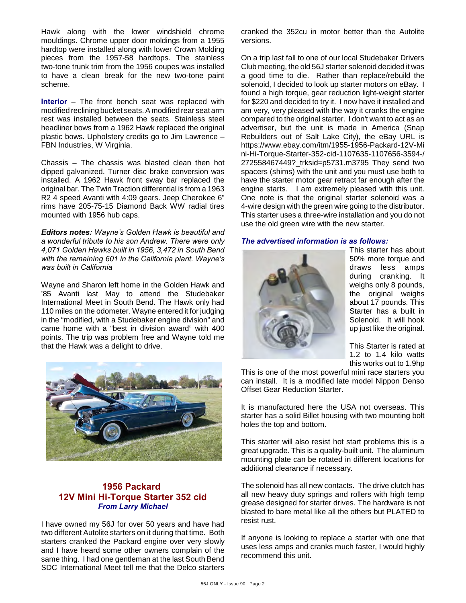Hawk along with the lower windshield chrome mouldings. Chrome upper door moldings from a 1955 hardtop were installed along with lower Crown Molding pieces from the 1957-58 hardtops. The stainless two-tone trunk trim from the 1956 coupes was installed to have a clean break for the new two-tone paint scheme.

**Interior** – The front bench seat was replaced with modified reclining bucket seats. A modified rear seat arm rest was installed between the seats. Stainless steel headliner bows from a 1962 Hawk replaced the original plastic bows. Upholstery credits go to Jim Lawrence – FBN Industries, W Virginia.

Chassis – The chassis was blasted clean then hot dipped galvanized. Turner disc brake conversion was installed. A 1962 Hawk front sway bar replaced the original bar. The Twin Traction differential is from a 1963 R2 4 speed Avanti with 4:09 gears. Jeep Cherokee 6" rims have 205-75-15 Diamond Back WW radial tires mounted with 1956 hub caps.

*Editors notes: Wayne's Golden Hawk is beautiful and a wonderful tribute to his son Andrew. There were only 4,071 Golden Hawks built in 1956, 3,472 in South Bend with the remaining 601 in the California plant. Wayne's was built in California*

Wayne and Sharon left home in the Golden Hawk and '85 Avanti last May to attend the Studebaker International Meet in South Bend. The Hawk only had 110 miles on the odometer. Wayne entered it for judging in the "modified, with a Studebaker engine division" and came home with a "best in division award" with 400 points. The trip was problem free and Wayne told me that the Hawk was a delight to drive.



### **1956 Packard 12V Mini Hi-Torque Starter 352 cid** *From Larry Michael*

I have owned my 56J for over 50 years and have had two different Autolite starters on it during that time. Both starters cranked the Packard engine over very slowly and I have heard some other owners complain of the same thing. I had one gentleman at the last South Bend SDC International Meet tell me that the Delco starters

cranked the 352cu in motor better than the Autolite versions.

On a trip last fall to one of our local Studebaker Drivers Club meeting, the old 56J starter solenoid decided it was a good time to die. Rather than replace/rebuild the solenoid, I decided to look up starter motors on eBay. I found a high torque, gear reduction light-weight starter for \$220 and decided to try it. I now have it installed and am very, very pleased with the way it cranks the engine compared to the original starter. I don't want to act as an advertiser, but the unit is made in America (Snap Rebuilders out of Salt Lake City), the eBay URL is https://www.ebay.com/itm/1955-1956-Packard-12V-Mi ni-Hi-Torque-Starter-352-cid-1107635-1107656-3594-/ 272558467449?\_trksid=p5731.m3795 They send two spacers (shims) with the unit and you must use both to have the starter motor gear retract far enough after the engine starts. I am extremely pleased with this unit. One note is that the original starter solenoid was a 4-wire design with the green wire going to the distributor. This starter uses a three-wire installation and you do not use the old green wire with the new starter.

#### *The advertised information is as follows:*



This starter has about 50% more torque and draws less amps during cranking. It weighs only 8 pounds, the original weighs about 17 pounds. This Starter has a built in Solenoid. It will hook up just like the original.

This Starter is rated at 1.2 to 1.4 kilo watts this works out to 1.9hp

This is one of the most powerful mini race starters you can install. It is a modified late model Nippon Denso Offset Gear Reduction Starter.

It is manufactured here the USA not overseas. This starter has a solid Billet housing with two mounting bolt holes the top and bottom.

This starter will also resist hot start problems this is a great upgrade. This is a quality-built unit. The aluminum mounting plate can be rotated in different locations for additional clearance if necessary.

The solenoid has all new contacts. The drive clutch has all new heavy duty springs and rollers with high temp grease designed for starter drives. The hardware is not blasted to bare metal like all the others but PLATED to resist rust.

If anyone is looking to replace a starter with one that uses less amps and cranks much faster, I would highly recommend this unit.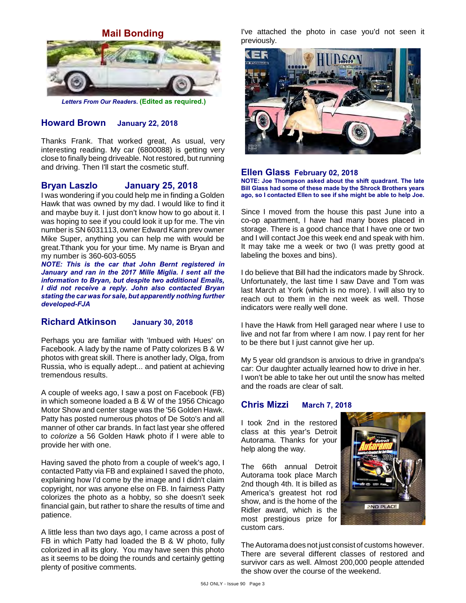**Mail Bonding**



*Letters From Our Readers.* **(Edited as required.)**

### **Howard Brown January 22, 2018**

Thanks Frank. That worked great, As usual, very interesting reading. My car (6800088) is getting very close to finally being driveable. Not restored, but running and driving. Then I'll start the cosmetic stuff.

### **Bryan Laszlo January 25, 2018**

I was wondering if you could help me in finding a Golden Hawk that was owned by my dad. I would like to find it and maybe buy it. I just don't know how to go about it. I was hoping to see if you could look it up for me. The vin number is SN 6031113, owner Edward Kann prev owner Mike Super, anything you can help me with would be great.Tthank you for your time. My name is Bryan and my number is 360-603-6055

*NOTE: This is the car that John Bernt registered in January and ran in the 2017 Mille Miglia. I sent all the information to Bryan, but despite two additional Emails, I did not receive a reply. John also contacted Bryan stating the car was for sale, but apparently nothing further developed-FJA*

### **Richard Atkinson January 30, 2018**

Perhaps you are familiar with 'Imbued with Hues' on Facebook. A lady by the name of Patty colorizes B & W photos with great skill. There is another lady, Olga, from Russia, who is equally adept... and patient at achieving tremendous results.

A couple of weeks ago, I saw a post on Facebook (FB) in which someone loaded a B & W of the 1956 Chicago Motor Show and center stage was the '56 Golden Hawk. Patty has posted numerous photos of De Soto's and all manner of other car brands. In fact last year she offered to *colorize* a 56 Golden Hawk photo if I were able to provide her with one.

Having saved the photo from a couple of week's ago, I contacted Patty via FB and explained I saved the photo, explaining how I'd come by the image and I didn't claim copyright, nor was anyone else on FB. In fairness Patty colorizes the photo as a hobby, so she doesn't seek financial gain, but rather to share the results of time and patience.

A little less than two days ago, I came across a post of FB in which Patty had loaded the B & W photo, fully colorized in all its glory. You may have seen this photo as it seems to be doing the rounds and certainly getting plenty of positive comments.

I've attached the photo in case you'd not seen it previously.



#### **Ellen Glass February 02, 2018**

**NOTE: Joe Thompson asked about the shift quadrant. The late Bill Glass had some of these made by the Shrock Brothers years ago, so I contacted Ellen to see if she might be able to help Joe.**

Since I moved from the house this past June into a co-op apartment, I have had many boxes placed in storage. There is a good chance that I have one or two and I will contact Joe this week end and speak with him. It may take me a week or two (I was pretty good at labeling the boxes and bins).

I do believe that Bill had the indicators made by Shrock. Unfortunately, the last time I saw Dave and Tom was last March at York (which is no more). I will also try to reach out to them in the next week as well. Those indicators were really well done.

I have the Hawk from Hell garaged near where I use to live and not far from where I am now. I pay rent for her to be there but I just cannot give her up.

My 5 year old grandson is anxious to drive in grandpa's car: Our daughter actually learned how to drive in her. I won't be able to take her out until the snow has melted and the roads are clear of salt.

#### **Chris Mizzi March 7, 2018**

I took 2nd in the restored class at this year's Detroit Autorama. Thanks for your help along the way.

The 66th annual Detroit Autorama took place March 2nd though 4th. It is billed as America's greatest hot rod show, and is the home of the Ridler award, which is the most prestigious prize for custom cars.



The Autorama does not just consist of customs however. There are several different classes of restored and survivor cars as well. Almost 200,000 people attended the show over the course of the weekend.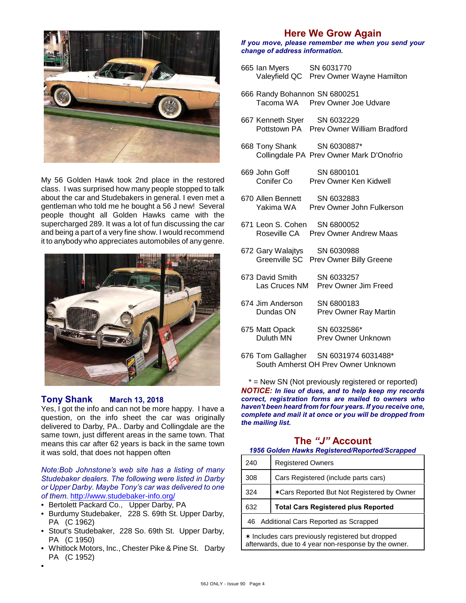

My 56 Golden Hawk took 2nd place in the restored class. I was surprised how many people stopped to talk about the car and Studebakers in general. I even met a gentleman who told me he bought a 56 J new! Several people thought all Golden Hawks came with the supercharged 289. It was a lot of fun discussing the car and being a part of a very fine show. I would recommend it to anybody who appreciates automobiles of any genre.



### **Tony Shank March 13, 2018**

Yes, I got the info and can not be more happy. I have a question, on the info sheet the car was originally delivered to Darby, PA.. Darby and Collingdale are the same town, just different areas in the same town. That means this car after 62 years is back in the same town it was sold, that does not happen often

*Note:Bob Johnstone's web site has a listing of many Studebaker dealers. The following were listed in Darby or Upper Darby. Maybe Tony's car was delivered to one of them.* <http://www.studebaker-info.org/>

- Bertolett Packard Co., Upper Darby, PA
- Burdumy Studebaker, 228 S. 69th St. Upper Darby, PA (C 1962)
- Stout's Studebaker, 228 So. 69th St. Upper Darby, PA (C 1950)
- Whitlock Motors, Inc., Chester Pike & Pine St. Darby PA (C 1952)

**Here We Grow Again**

#### *If you move, please remember me when you send your change of address information.*

- 665 Ian Myers SN 6031770 Valeyfield QC Prev Owner Wayne Hamilton
- 666 Randy Bohannon SN 6800251 Prev Owner Joe Udvare
- 667 Kenneth Styer SN 6032229 Pottstown PA Prev Owner William Bradford
- 668 Tony Shank SN 6030887\* Collingdale PA Prev Owner Mark D'Onofrio
- 669 John Goff SN 6800101 Conifer Co Prev Owner Ken Kidwell
- 670 Allen Bennett SN 6032883 Yakima WA Prev Owner John Fulkerson
- 671 Leon S. Cohen SN 6800052 Roseville CA Prev Owner Andrew Maas
- 672 Gary Walajtys SN 6030988 Greenville SC Prev Owner Billy Greene
- 673 David Smith SN 6033257<br>Las Cruces NM Prev Owner Prev Owner Jim Freed
- 674 Jim Anderson SN 6800183 Dundas ON Prev Owner Ray Martin
- 675 Matt Opack SN 6032586\* Duluth MN Prev Owner Unknown
- 676 Tom Gallagher SN 6031974 6031488\* South Amherst OH Prev Owner Unknown

\* = New SN (Not previously registered or reported) *NOTICE: In lieu of dues, and to help keep my records correct, registration forms are mailed to owners who haven't been heard from for four years. If you receive one, complete and mail it at once or you will be dropped from the mailing list.*

## **The** *"J"* **Account**

*1956 Golden Hawks Registered/Reported/Scrapped*

| 240                                                                                                       | <b>Registered Owners</b>                   |  |
|-----------------------------------------------------------------------------------------------------------|--------------------------------------------|--|
| 308                                                                                                       | Cars Registered (include parts cars)       |  |
| 324                                                                                                       | *Cars Reported But Not Registered by Owner |  |
| 632                                                                                                       | <b>Total Cars Registered plus Reported</b> |  |
| 46 Additional Cars Reported as Scrapped                                                                   |                                            |  |
| * Includes cars previously registered but dropped<br>afterwards, due to 4 year non-response by the owner. |                                            |  |

•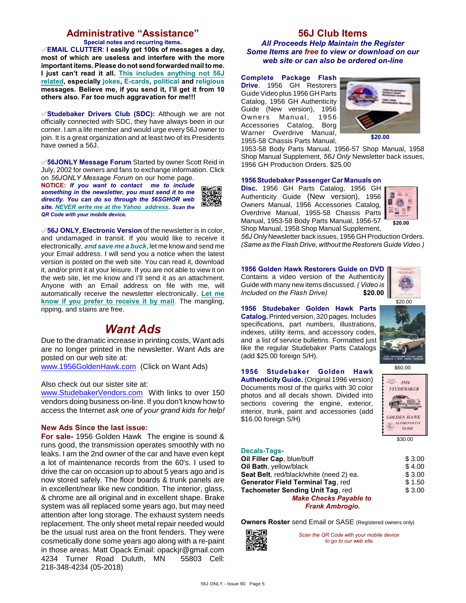## **Administrative "Assistance"**

**Special notes and recurring items.** °**EMAIL CLUTTER**: **I easily get 100s of messages a day, most of which are useless and interfere with the more important items. Please do not send forwarded mail to me. I just can't read it all. This includes anything not 56J related, especially jokes, E-cards, political and religious messages. Believe me, if you send it, I'll get it from 10 others also. Far too much aggravation for me!!!**

°**Studebaker Drivers Club (SDC):** Although we are not officially connected with SDC, they have always been in our corner. I am a life member and would urge every 56J owner to join. It is a great organization and at least two of its Presidents have owned a 56J.

°**56JONLY Message Forum** Started by owner Scott Reid in July, 2002 for owners and fans to exchange information. Click on *56JONLY Message Forum* on our home page.

**NOTICE:** *If you want to contact me to include something in the newsletter, you must send it to me directly. You can do so through the 56SGHOR web site. NEVER write me at the Yahoo address. Scan the QR Code with your mobile device.* 



°**56J ONLY, Electronic Version** of the newsletter is in color, and undamaged in transit. If you would like to receive it electronically, *and save me a buck*, let me know and send me your Email address. I will send you a notice when the latest version is posted on the web site. You can read it, download it, and/or print it at your leisure. If you are not able to view it on the web site, let me know and I'll send it as an attachment. Anyone with an Email address on file with me, will automatically receive the newsletter electronically. **Let me know if you prefer to receive it by mail**. The mangling, ripping, and stains are free.

# *Want Ads*

Due to the dramatic increase in printing costs, Want ads are no longer printed in the newsletter. Want Ads are posted on our web site at:

[www.1956GoldenHawk.com](http://www.1956GoldenHawk.com) (Click on Want Ads)

Also check out our sister site at:

[www.StudebakerVendors.com](http://www.StudebakerVendors.com) With links to over 150 vendors doing business on-line. If you don't know how to access the Internet *ask one of your grand kids for help!*

#### **New Ads Since the last issue:**

**For sale-** 1956 Golden Hawk The engine is sound & runs good, the transmission operates smoothly with no leaks. I am the 2nd owner of the car and have even kept a lot of maintenance records from the 60's. I used to drive the car on occasion up to about 5 years ago and is now stored safely. The floor boards & trunk panels are in excellent/near like new condition. The interior, glass, & chrome are all original and in excellent shape. Brake system was all replaced some years ago, but may need attention after long storage. The exhaust system needs replacement. The only sheet metal repair needed would be the usual rust area on the front fenders. They were cosmetically done some years ago along with a re-paint in those areas. Matt Opack Email: opackjr@gmail.com 4234 Turner Road Duluth, MN 55803 Cell: 218-348-4234 (05-2018)

### **56J Club Items** *All Proceeds Help Maintain the Register Some Items are free to view or download on our web site or can also be ordered on-line*

**Complete Package Flash Drive**. 1956 GH Restorers Guide Video plus 1956 GH Parts Catalog, 1956 GH Authenticity Guide (New version), 1956 Owners Manual, 1956 Accessories Catalog, Borg Warner Overdrive Manual, 1955-58 Chassis Parts Manual,



1953-58 Body Parts Manual, 1956-57 Shop Manual, 1958 Shop Manual Supplement, *56J Only* Newsletter back issues, 1956 GH Production Orders. \$25.00

#### **1956 Studebaker Passenger Car Manuals on**

**Disc.** 1956 GH Parts Catalog, 1956 GH Authenticity Guide (New version), 1956 Owners Manual, 1956 Accessories Catalog, Overdrive Manual, 1955-58 Chassis Parts Manual, 1953-58 Body Parts Manual, 1956-57 Shop Manual, 1958 Shop Manual Supplement,



*56J Only* Newsletter back issues, 1956 GH Production Orders. *(Same as the Flash Drive, without the Restorers Guide Video.)*

**1956 Golden Hawk Restorers Guide on DVD** Contains a video version of the Authenticity Guide with many new items discussed. *( Video is Included on the Flash Drive)* **\$20.00**



**1956 Studebaker Golden Hawk Parts Catalog.** Printed version, 320 pages. Includes specifications, part numbers, illustrations, indexes, utility items, and accessory codes, and a list of service bulletins. Formatted just like the regular Studebaker Parts Catalogs (add \$25.00 foreign S/H).

#### **1956 Studebaker Golden Hawk**

**Authenticity Guide.** (Original 1996 version) Documents most of the quirks with 30 color photos and all decals shown. Divided into sections covering the engine, exterior, interior, trunk, paint and accessories (add \$16.00 foreign S/H)





\$30.00

| <b>Decals-Tags-</b>                     |        |
|-----------------------------------------|--------|
| Oil Filler Cap, blue/buff               | \$3.00 |
| Oil Bath, yellow/black                  | \$4.00 |
| Seat Belt, red/black/white (need 2) ea. | \$3.00 |
| Generator Field Terminal Tag, red       | \$1.50 |
| Tachometer Sending Unit Tag, red        | \$3.00 |
| <b>Make Checks Payable to</b>           |        |
| <b>Frank Ambrogio.</b>                  |        |

**Owners Roster** send Email or SASE (Registered owners only)



*Scan the QR Code with your mobile device to go to our web site.*